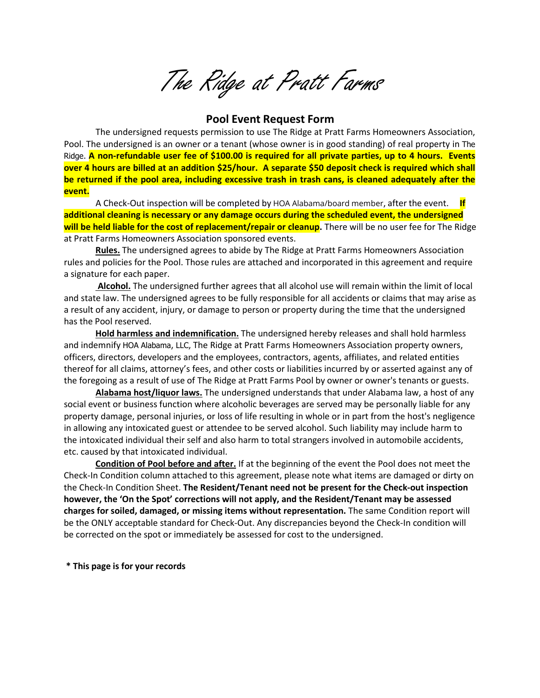The Ridge at Pratt Farms

# **Pool Event Request Form**

The undersigned requests permission to use The Ridge at Pratt Farms Homeowners Association, Pool. The undersigned is an owner or a tenant (whose owner is in good standing) of real property in The Ridge. **A non-refundable user fee of \$100.00 is required for all private parties, up to 4 hours. Events over 4 hours are billed at an addition \$25/hour. A separate \$50 deposit check is required which shall be returned if the pool area, including excessive trash in trash cans, is cleaned adequately after the event.**

A Check-Out inspection will be completed by HOA Alabama/board member, after the event. **If additional cleaning is necessary or any damage occurs during the scheduled event, the undersigned** will be held liable for the cost of replacement/repair or cleanup. There will be no user fee for The Ridge at Pratt Farms Homeowners Association sponsored events.

**Rules.** The undersigned agrees to abide by The Ridge at Pratt Farms Homeowners Association rules and policies for the Pool. Those rules are attached and incorporated in this agreement and require a signature for each paper.

**Alcohol.** The undersigned further agrees that all alcohol use will remain within the limit of local and state law. The undersigned agrees to be fully responsible for all accidents or claims that may arise as a result of any accident, injury, or damage to person or property during the time that the undersigned has the Pool reserved.

**Hold harmless and indemnification.** The undersigned hereby releases and shall hold harmless and indemnify HOA Alabama, LLC, The Ridge at Pratt Farms Homeowners Association property owners, officers, directors, developers and the employees, contractors, agents, affiliates, and related entities thereof for all claims, attorney's fees, and other costs or liabilities incurred by or asserted against any of the foregoing as a result of use of The Ridge at Pratt Farms Pool by owner or owner's tenants or guests.

**Alabama host/liquor laws.** The undersigned understands that under Alabama law, a host of any social event or business function where alcoholic beverages are served may be personally liable for any property damage, personal injuries, or loss of life resulting in whole or in part from the host's negligence in allowing any intoxicated guest or attendee to be served alcohol. Such liability may include harm to the intoxicated individual their self and also harm to total strangers involved in automobile accidents, etc. caused by that intoxicated individual.

**Condition of Pool before and after.** If at the beginning of the event the Pool does not meet the Check-In Condition column attached to this agreement, please note what items are damaged or dirty on the Check-In Condition Sheet. **The Resident/Tenant need not be present for the Check-out inspection however, the 'On the Spot' corrections will not apply, and the Resident/Tenant may be assessed charges for soiled, damaged, or missing items without representation.** The same Condition report will be the ONLY acceptable standard for Check-Out. Any discrepancies beyond the Check-In condition will be corrected on the spot or immediately be assessed for cost to the undersigned.

**\* This page is for your records**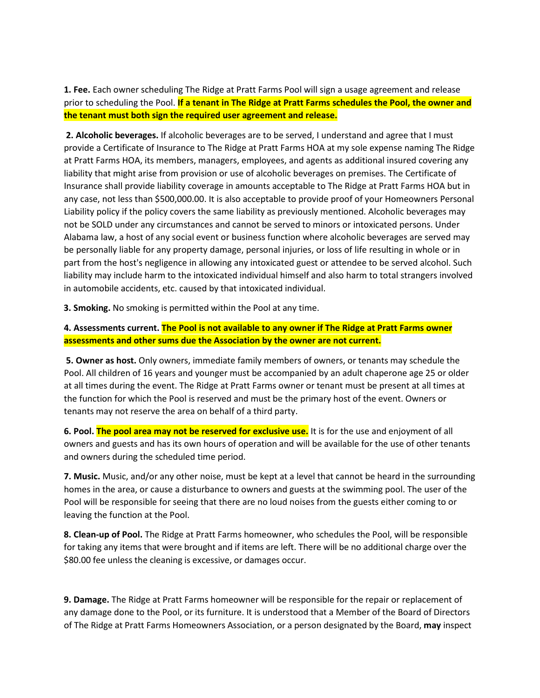**1. Fee.** Each owner scheduling The Ridge at Pratt Farms Pool will sign a usage agreement and release prior to scheduling the Pool. **If a tenant in The Ridge at Pratt Farms schedules the Pool, the owner and the tenant must both sign the required user agreement and release.**

**2. Alcoholic beverages.** If alcoholic beverages are to be served, I understand and agree that I must provide a Certificate of Insurance to The Ridge at Pratt Farms HOA at my sole expense naming The Ridge at Pratt Farms HOA, its members, managers, employees, and agents as additional insured covering any liability that might arise from provision or use of alcoholic beverages on premises. The Certificate of Insurance shall provide liability coverage in amounts acceptable to The Ridge at Pratt Farms HOA but in any case, not less than \$500,000.00. It is also acceptable to provide proof of your Homeowners Personal Liability policy if the policy covers the same liability as previously mentioned. Alcoholic beverages may not be SOLD under any circumstances and cannot be served to minors or intoxicated persons. Under Alabama law, a host of any social event or business function where alcoholic beverages are served may be personally liable for any property damage, personal injuries, or loss of life resulting in whole or in part from the host's negligence in allowing any intoxicated guest or attendee to be served alcohol. Such liability may include harm to the intoxicated individual himself and also harm to total strangers involved in automobile accidents, etc. caused by that intoxicated individual.

**3. Smoking.** No smoking is permitted within the Pool at any time.

**4. Assessments current. The Pool is not available to any owner if The Ridge at Pratt Farms owner assessments and other sums due the Association by the owner are not current.**

**5. Owner as host.** Only owners, immediate family members of owners, or tenants may schedule the Pool. All children of 16 years and younger must be accompanied by an adult chaperone age 25 or older at all times during the event. The Ridge at Pratt Farms owner or tenant must be present at all times at the function for which the Pool is reserved and must be the primary host of the event. Owners or tenants may not reserve the area on behalf of a third party.

**6. Pool. The pool area may not be reserved for exclusive use.** It is for the use and enjoyment of all owners and guests and has its own hours of operation and will be available for the use of other tenants and owners during the scheduled time period.

**7. Music.** Music, and/or any other noise, must be kept at a level that cannot be heard in the surrounding homes in the area, or cause a disturbance to owners and guests at the swimming pool. The user of the Pool will be responsible for seeing that there are no loud noises from the guests either coming to or leaving the function at the Pool.

**8. Clean-up of Pool.** The Ridge at Pratt Farms homeowner, who schedules the Pool, will be responsible for taking any items that were brought and if items are left. There will be no additional charge over the \$80.00 fee unless the cleaning is excessive, or damages occur.

**9. Damage.** The Ridge at Pratt Farms homeowner will be responsible for the repair or replacement of any damage done to the Pool, or its furniture. It is understood that a Member of the Board of Directors of The Ridge at Pratt Farms Homeowners Association, or a person designated by the Board, **may** inspect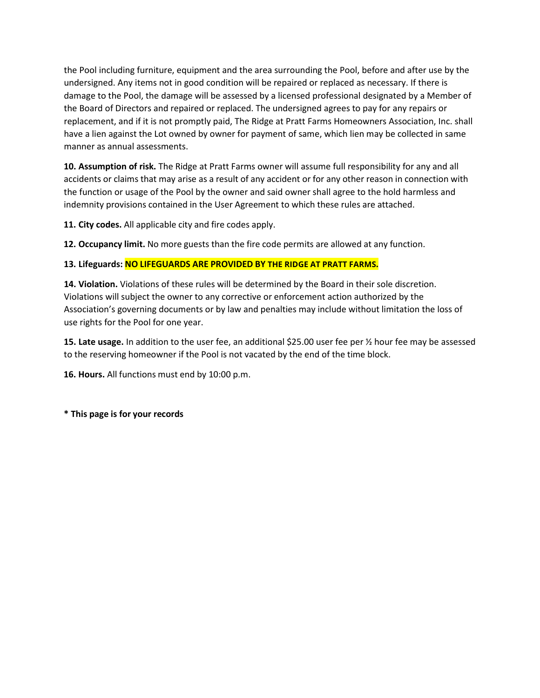the Pool including furniture, equipment and the area surrounding the Pool, before and after use by the undersigned. Any items not in good condition will be repaired or replaced as necessary. If there is damage to the Pool, the damage will be assessed by a licensed professional designated by a Member of the Board of Directors and repaired or replaced. The undersigned agrees to pay for any repairs or replacement, and if it is not promptly paid, The Ridge at Pratt Farms Homeowners Association, Inc. shall have a lien against the Lot owned by owner for payment of same, which lien may be collected in same manner as annual assessments.

**10. Assumption of risk.** The Ridge at Pratt Farms owner will assume full responsibility for any and all accidents or claims that may arise as a result of any accident or for any other reason in connection with the function or usage of the Pool by the owner and said owner shall agree to the hold harmless and indemnity provisions contained in the User Agreement to which these rules are attached.

**11. City codes.** All applicable city and fire codes apply.

**12. Occupancy limit.** No more guests than the fire code permits are allowed at any function.

## **13. Lifeguards: NO LIFEGUARDS ARE PROVIDED BY THE RIDGE AT PRATT FARMS.**

**14. Violation.** Violations of these rules will be determined by the Board in their sole discretion. Violations will subject the owner to any corrective or enforcement action authorized by the Association's governing documents or by law and penalties may include without limitation the loss of use rights for the Pool for one year.

**15. Late usage.** In addition to the user fee, an additional \$25.00 user fee per ½ hour fee may be assessed to the reserving homeowner if the Pool is not vacated by the end of the time block.

**16. Hours.** All functions must end by 10:00 p.m.

**\* This page is for your records**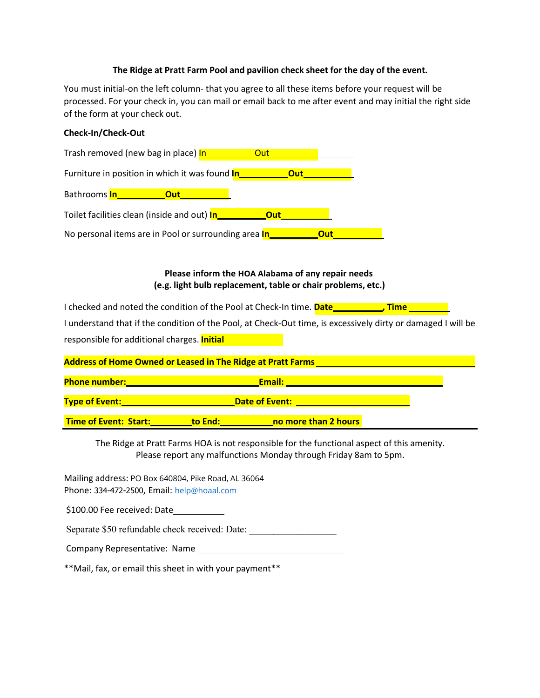#### **The Ridge at Pratt Farm Pool and pavilion check sheet for the day of the event.**

You must initial-on the left column- that you agree to all these items before your request will be processed. For your check in, you can mail or email back to me after event and may initial the right side of the form at your check out.

#### **Check-In/Check-Out**

| Trash removed (new bag in place) In_____________Out__                         |  |
|-------------------------------------------------------------------------------|--|
| Furniture in position in which it was found <b>In ____________Out____</b>     |  |
| Bathrooms <mark>In_____________Out_________</mark>                            |  |
|                                                                               |  |
| No personal items are in Pool or surrounding area <b>In____________Out___</b> |  |
|                                                                               |  |

### **Please inform the HOA Alabama of any repair needs (e.g. light bulb replacement, table or chair problems, etc.)**

I checked and noted the condition of the Pool at Check-In time. **Date\_\_\_\_\_\_\_\_\_\_\_\_, Time** 

I understand that if the condition of the Pool, at Check-Out time, is excessively dirty or damaged I will be responsible for additional charges. **Initial**

| <b>Address of Home Owned or Leased in The Ridge at Pratt Farms</b> |                       |                      |  |
|--------------------------------------------------------------------|-----------------------|----------------------|--|
|                                                                    |                       |                      |  |
| <b>Phone number:</b>                                               |                       | Email:               |  |
| <b>Type of Event:</b>                                              | <b>Date of Event:</b> |                      |  |
|                                                                    |                       |                      |  |
| <b>Time of Event: Start:</b>                                       | to End:               | no more than 2 hours |  |

The Ridge at Pratt Farms HOA is not responsible for the functional aspect of this amenity. Please report any malfunctions Monday through Friday 8am to 5pm.

Mailing address: PO Box 640804, Pike Road, AL 36064 Phone: 334-472-2500, Email: [help@hoaal.com](mailto:help@hoaal.com)

\$100.00 Fee received: Date

Separate \$50 refundable check received: Date:

Company Representative: Name

\*\*Mail, fax, or email this sheet in with your payment\*\*